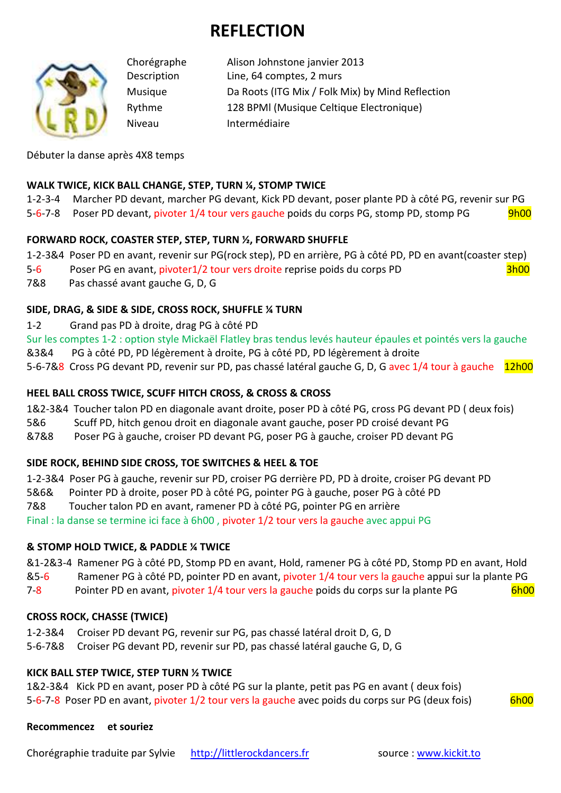# **REFLECTION**



Chorégraphe Alison Johnstone janvier 2013 Description Line, 64 comptes, 2 murs Musique Da Roots (ITG Mix / Folk Mix) by Mind Reflection Rythme 128 BPMl (Musique Celtique Electronique) Niveau Intermédiaire

Débuter la danse après 4X8 temps

#### **WALK TWICE, KICK BALL CHANGE, STEP, TURN ¼, STOMP TWICE**

1-2-3-4 Marcher PD devant, marcher PG devant, Kick PD devant, poser plante PD à côté PG, revenir sur PG 5-6-7-8 Poser PD devant, pivoter 1/4 tour vers gauche poids du corps PG, stomp PD, stomp PG 9h00

#### **FORWARD ROCK, COASTER STEP, STEP, TURN ½, FORWARD SHUFFLE**

1-2-3&4 Poser PD en avant, revenir sur PG(rock step), PD en arrière, PG à côté PD, PD en avant(coaster step)

5-6 Poser PG en avant, pivoter1/2 tour vers droite reprise poids du corps PD 3h00

7&8 Pas chassé avant gauche G, D, G

## **SIDE, DRAG, & SIDE & SIDE, CROSS ROCK, SHUFFLE ¼ TURN**

1-2 Grand pas PD à droite, drag PG à côté PD

Sur les comptes 1-2 : option style Mickaël Flatley bras tendus levés hauteur épaules et pointés vers la gauche

&3&4 PG à côté PD, PD légèrement à droite, PG à côté PD, PD légèrement à droite

5-6-7&8 Cross PG devant PD, revenir sur PD, pas chassé latéral gauche G, D, G avec 1/4 tour à gauche 12h00

#### **HEEL BALL CROSS TWICE, SCUFF HITCH CROSS, & CROSS & CROSS**

1&2-3&4 Toucher talon PD en diagonale avant droite, poser PD à côté PG, cross PG devant PD ( deux fois)

5&6 Scuff PD, hitch genou droit en diagonale avant gauche, poser PD croisé devant PG

&7&8 Poser PG à gauche, croiser PD devant PG, poser PG à gauche, croiser PD devant PG

#### **SIDE ROCK, BEHIND SIDE CROSS, TOE SWITCHES & HEEL & TOE**

1-2-3&4 Poser PG à gauche, revenir sur PD, croiser PG derrière PD, PD à droite, croiser PG devant PD

5&6& Pointer PD à droite, poser PD à côté PG, pointer PG à gauche, poser PG à côté PD

7&8 Toucher talon PD en avant, ramener PD à côté PG, pointer PG en arrière

Final : la danse se termine ici face à 6h00 , pivoter 1/2 tour vers la gauche avec appui PG

# **& STOMP HOLD TWICE, & PADDLE ¼ TWICE**

&1-2&3-4 Ramener PG à côté PD, Stomp PD en avant, Hold, ramener PG à côté PD, Stomp PD en avant, Hold

&5-6 Ramener PG à côté PD, pointer PD en avant, pivoter 1/4 tour vers la gauche appui sur la plante PG

7-8 Pointer PD en avant, pivoter 1/4 tour vers la gauche poids du corps sur la plante PG 6h00

# **CROSS ROCK, CHASSE (TWICE)**

- 1-2-3&4 Croiser PD devant PG, revenir sur PG, pas chassé latéral droit D, G, D
- 5-6-7&8 Croiser PG devant PD, revenir sur PD, pas chassé latéral gauche G, D, G

# **KICK BALL STEP TWICE, STEP TURN ½ TWICE**

1&2-3&4 Kick PD en avant, poser PD à côté PG sur la plante, petit pas PG en avant ( deux fois) 5-6-7-8 Poser PD en avant, pivoter 1/2 tour vers la gauche avec poids du corps sur PG (deux fois) 6h00

**Recommencez et souriez** 

Chorégraphie traduite par Sylvie http://littlerockdancers.fr source : www.kickit.to